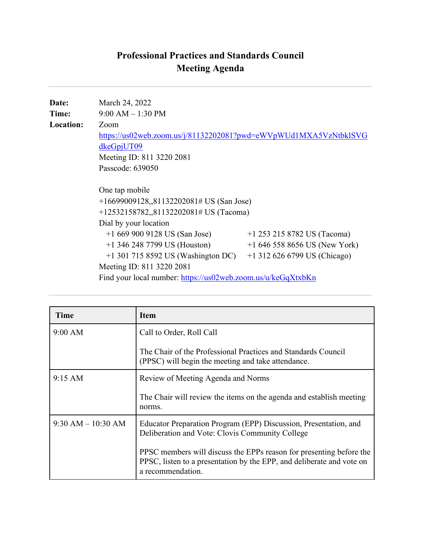## **Professional Practices and Standards Council Meeting Agenda**

| Date:            | March 24, 2022                                                           |                                |  |
|------------------|--------------------------------------------------------------------------|--------------------------------|--|
| Time:            | $9:00 AM - 1:30 PM$                                                      |                                |  |
| <b>Location:</b> | Zoom<br>https://us02web.zoom.us/j/81132202081?pwd=eWVpWUd1MXA5VzNtbklSVG |                                |  |
|                  |                                                                          |                                |  |
|                  | $d$ ke $G$ pj $U$ T09                                                    |                                |  |
|                  | Meeting ID: 811 3220 2081<br>Passcode: 639050                            |                                |  |
|                  |                                                                          |                                |  |
|                  |                                                                          |                                |  |
|                  | One tap mobile                                                           |                                |  |
|                  | $+16699009128$ , $81132202081\#$ US (San Jose)                           |                                |  |
|                  | $+12532158782$ , $81132202081\#$ US (Tacoma)<br>Dial by your location    |                                |  |
|                  |                                                                          |                                |  |
|                  | $+16699009128$ US (San Jose)                                             | $+1$ 253 215 8782 US (Tacoma)  |  |
|                  | $+1$ 346 248 7799 US (Houston)                                           | $+16465588656$ US (New York)   |  |
|                  | $+1$ 301 715 8592 US (Washington DC)                                     | $+1$ 312 626 6799 US (Chicago) |  |
|                  | Meeting ID: 811 3220 2081                                                |                                |  |
|                  | Find your local number: https://us02web.zoom.us/u/keGqXtxbKn             |                                |  |

| Time                   | <b>Item</b>                                                                                                                                                       |
|------------------------|-------------------------------------------------------------------------------------------------------------------------------------------------------------------|
| 9:00 AM                | Call to Order, Roll Call                                                                                                                                          |
|                        | The Chair of the Professional Practices and Standards Council<br>(PPSC) will begin the meeting and take attendance.                                               |
| 9:15 AM                | Review of Meeting Agenda and Norms                                                                                                                                |
|                        | The Chair will review the items on the agenda and establish meeting<br>norms.                                                                                     |
| $9:30$ AM $- 10:30$ AM | Educator Preparation Program (EPP) Discussion, Presentation, and<br>Deliberation and Vote: Clovis Community College                                               |
|                        | PPSC members will discuss the EPPs reason for presenting before the<br>PPSC, listen to a presentation by the EPP, and deliberate and vote on<br>a recommendation. |